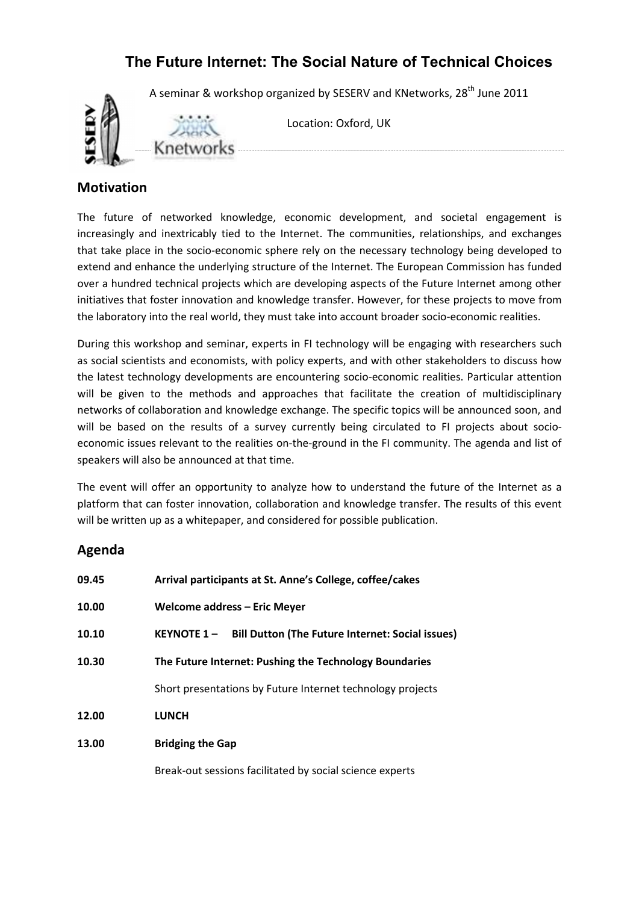# **The Future Internet: The Social Nature of Technical Choices**

A seminar & workshop organized by SESERV and KNetworks, 28<sup>th</sup> June 2011



Location: Oxford, UK

#### **Motivation**

The future of networked knowledge, economic development, and societal engagement is increasingly and inextricably tied to the Internet. The communities, relationships, and exchanges that take place in the socio-economic sphere rely on the necessary technology being developed to extend and enhance the underlying structure of the Internet. The European Commission has funded over a hundred technical projects which are developing aspects of the Future Internet among other initiatives that foster innovation and knowledge transfer. However, for these projects to move from the laboratory into the real world, they must take into account broader socio-economic realities.

During this workshop and seminar, experts in FI technology will be engaging with researchers such as social scientists and economists, with policy experts, and with other stakeholders to discuss how the latest technology developments are encountering socio-economic realities. Particular attention will be given to the methods and approaches that facilitate the creation of multidisciplinary networks of collaboration and knowledge exchange. The specific topics will be announced soon, and will be based on the results of a survey currently being circulated to FI projects about socioeconomic issues relevant to the realities on-the-ground in the FI community. The agenda and list of speakers will also be announced at that time.

The event will offer an opportunity to analyze how to understand the future of the Internet as a platform that can foster innovation, collaboration and knowledge transfer. The results of this event will be written up as a whitepaper, and considered for possible publication.

### **Agenda**

| 09.45 | Arrival participants at St. Anne's College, coffee/cakes               |  |  |
|-------|------------------------------------------------------------------------|--|--|
| 10.00 | Welcome address – Eric Meyer                                           |  |  |
| 10.10 | <b>Bill Dutton (The Future Internet: Social issues)</b><br>KEYNOTE 1 - |  |  |
| 10.30 | The Future Internet: Pushing the Technology Boundaries                 |  |  |
|       | Short presentations by Future Internet technology projects             |  |  |
| 12.00 | <b>LUNCH</b>                                                           |  |  |
| 13.00 | <b>Bridging the Gap</b>                                                |  |  |

Break-out sessions facilitated by social science experts